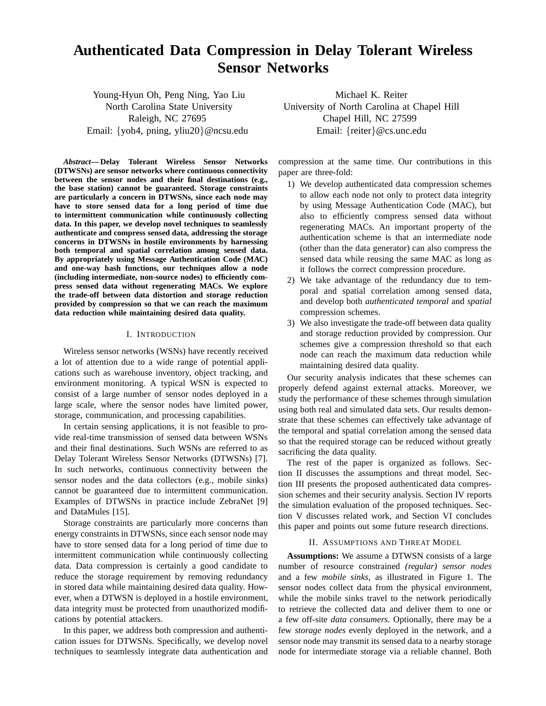# **Authenticated Data Compression in Delay Tolerant Wireless Sensor Networks**

Young-Hyun Oh, Peng Ning, Yao Liu North Carolina State University Raleigh, NC 27695 Email: {yoh4, pning, yliu20}@ncsu.edu

*Abstract***— Delay Tolerant Wireless Sensor Networks (DTWSNs) are sensor networks where continuous connectivity between the sensor nodes and their final destinations (e.g., the base station) cannot be guaranteed. Storage constraints are particularly a concern in DTWSNs, since each node may have to store sensed data for a long period of time due to intermittent communication while continuously collecting data. In this paper, we develop novel techniques to seamlessly authenticate and compress sensed data, addressing the storage concerns in DTWSNs in hostile environments by harnessing both temporal and spatial correlation among sensed data. By appropriately using Message Authentication Code (MAC) and one-way hash functions, our techniques allow a node (including intermediate, non-source nodes) to efficiently compress sensed data without regenerating MACs. We explore the trade-off between data distortion and storage reduction provided by compression so that we can reach the maximum data reduction while maintaining desired data quality.**

## I. INTRODUCTION

Wireless sensor networks (WSNs) have recently received a lot of attention due to a wide range of potential applications such as warehouse inventory, object tracking, and environment monitoring. A typical WSN is expected to consist of a large number of sensor nodes deployed in a large scale, where the sensor nodes have limited power, storage, communication, and processing capabilities.

In certain sensing applications, it is not feasible to provide real-time transmission of sensed data between WSNs and their final destinations. Such WSNs are referred to as Delay Tolerant Wireless Sensor Networks (DTWSNs) [7]. In such networks, continuous connectivity between the sensor nodes and the data collectors (e.g., mobile sinks) cannot be guaranteed due to intermittent communication. Examples of DTWSNs in practice include ZebraNet [9] and DataMules [15].

Storage constraints are particularly more concerns than energy constraints in DTWSNs, since each sensor node may have to store sensed data for a long period of time due to intermittent communication while continuously collecting data. Data compression is certainly a good candidate to reduce the storage requirement by removing redundancy in stored data while maintaining desired data quality. However, when a DTWSN is deployed in a hostile environment, data integrity must be protected from unauthorized modifications by potential attackers.

In this paper, we address both compression and authentication issues for DTWSNs. Specifically, we develop novel techniques to seamlessly integrate data authentication and

Michael K. Reiter University of North Carolina at Chapel Hill Chapel Hill, NC 27599 Email: {reiter}@cs.unc.edu

compression at the same time. Our contributions in this paper are three-fold:

- 1) We develop authenticated data compression schemes to allow each node not only to protect data integrity by using Message Authentication Code (MAC), but also to efficiently compress sensed data without regenerating MACs. An important property of the authentication scheme is that an intermediate node (other than the data generator) can also compress the sensed data while reusing the same MAC as long as it follows the correct compression procedure.
- 2) We take advantage of the redundancy due to temporal and spatial correlation among sensed data, and develop both *authenticated temporal* and *spatial* compression schemes.
- 3) We also investigate the trade-off between data quality and storage reduction provided by compression. Our schemes give a compression threshold so that each node can reach the maximum data reduction while maintaining desired data quality.

Our security analysis indicates that these schemes can properly defend against external attacks. Moreover, we study the performance of these schemes through simulation using both real and simulated data sets. Our results demonstrate that these schemes can effectively take advantage of the temporal and spatial correlation among the sensed data so that the required storage can be reduced without greatly sacrificing the data quality.

The rest of the paper is organized as follows. Section II discusses the assumptions and threat model. Section III presents the proposed authenticated data compression schemes and their security analysis. Section IV reports the simulation evaluation of the proposed techniques. Section V discusses related work, and Section VI concludes this paper and points out some future research directions.

## II. ASSUMPTIONS AND THREAT MODEL

**Assumptions:** We assume a DTWSN consists of a large number of resource constrained *(regular) sensor nodes* and a few *mobile sinks*, as illustrated in Figure 1. The sensor nodes collect data from the physical environment, while the mobile sinks travel to the network periodically to retrieve the collected data and deliver them to one or a few off-site *data consumers*. Optionally, there may be a few *storage nodes* evenly deployed in the network, and a sensor node may transmit its sensed data to a nearby storage node for intermediate storage via a reliable channel. Both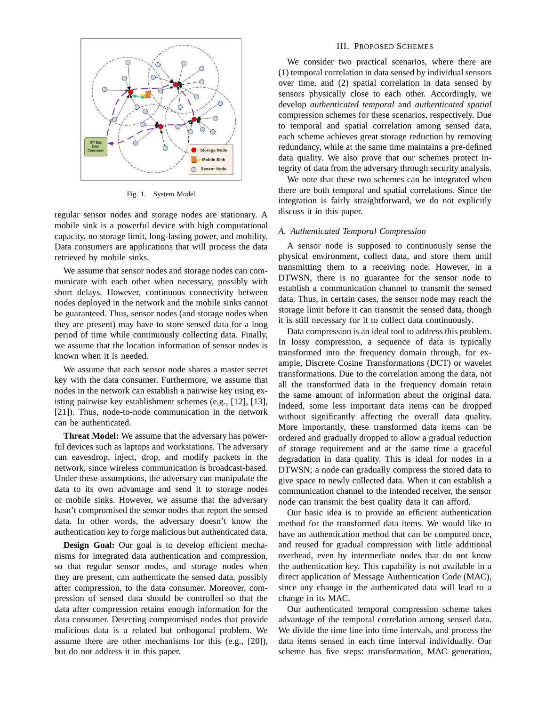

Fig. 1. System Model

regular sensor nodes and storage nodes are stationary. A mobile sink is a powerful device with high computational capacity, no storage limit, long-lasting power, and mobility. Data consumers are applications that will process the data retrieved by mobile sinks.

We assume that sensor nodes and storage nodes can communicate with each other when necessary, possibly with short delays. However, continuous connectivity between nodes deployed in the network and the mobile sinks cannot be guaranteed. Thus, sensor nodes (and storage nodes when they are present) may have to store sensed data for a long period of time while continuously collecting data. Finally, we assume that the location information of sensor nodes is known when it is needed.

We assume that each sensor node shares a master secret key with the data consumer. Furthermore, we assume that nodes in the network can establish a pairwise key using existing pairwise key establishment schemes (e.g., [12], [13], [21]). Thus, node-to-node communication in the network can be authenticated.

**Threat Model:** We assume that the adversary has powerful devices such as laptops and workstations. The adversary can eavesdrop, inject, drop, and modify packets in the network, since wireless communication is broadcast-based. Under these assumptions, the adversary can manipulate the data to its own advantage and send it to storage nodes or mobile sinks. However, we assume that the adversary hasn't compromised the sensor nodes that report the sensed data. In other words, the adversary doesn't know the authentication key to forge malicious but authenticated data.

**Design Goal:** Our goal is to develop efficient mechanisms for integrated data authentication and compression, so that regular sensor nodes, and storage nodes when they are present, can authenticate the sensed data, possibly after compression, to the data consumer. Moreover, compression of sensed data should be controlled so that the data after compression retains enough information for the data consumer. Detecting compromised nodes that provide malicious data is a related but orthogonal problem. We assume there are other mechanisms for this (e.g., [20]), but do not address it in this paper.

#### III. PROPOSED SCHEMES

We consider two practical scenarios, where there are (1) temporal correlation in data sensed by individual sensors over time, and (2) spatial correlation in data sensed by sensors physically close to each other. Accordingly, we develop *authenticated temporal* and *authenticated spatial* compression schemes for these scenarios, respectively. Due to temporal and spatial correlation among sensed data, each scheme achieves great storage reduction by removing redundancy, while at the same time maintains a pre-defined data quality. We also prove that our schemes protect integrity of data from the adversary through security analysis.

We note that these two schemes can be integrated when there are both temporal and spatial correlations. Since the integration is fairly straightforward, we do not explicitly discuss it in this paper.

## *A. Authenticated Temporal Compression*

A sensor node is supposed to continuously sense the physical environment, collect data, and store them until transmitting them to a receiving node. However, in a DTWSN, there is no guarantee for the sensor node to establish a communication channel to transmit the sensed data. Thus, in certain cases, the sensor node may reach the storage limit before it can transmit the sensed data, though it is still necessary for it to collect data continuously.

Data compression is an ideal tool to address this problem. In lossy compression, a sequence of data is typically transformed into the frequency domain through, for example, Discrete Cosine Transformations (DCT) or wavelet transformations. Due to the correlation among the data, not all the transformed data in the frequency domain retain the same amount of information about the original data. Indeed, some less important data items can be dropped without significantly affecting the overall data quality. More importantly, these transformed data items can be ordered and gradually dropped to allow a gradual reduction of storage requirement and at the same time a graceful degradation in data quality. This is ideal for nodes in a DTWSN; a node can gradually compress the stored data to give space to newly collected data. When it can establish a communication channel to the intended receiver, the sensor node can transmit the best quality data it can afford.

Our basic idea is to provide an efficient authentication method for the transformed data items. We would like to have an authentication method that can be computed once, and reused for gradual compression with little additional overhead, even by intermediate nodes that do not know the authentication key. This capability is not available in a direct application of Message Authentication Code (MAC), since any change in the authenticated data will lead to a change in its MAC.

Our authenticated temporal compression scheme takes advantage of the temporal correlation among sensed data. We divide the time line into time intervals, and process the data items sensed in each time interval individually. Our scheme has five steps: transformation, MAC generation,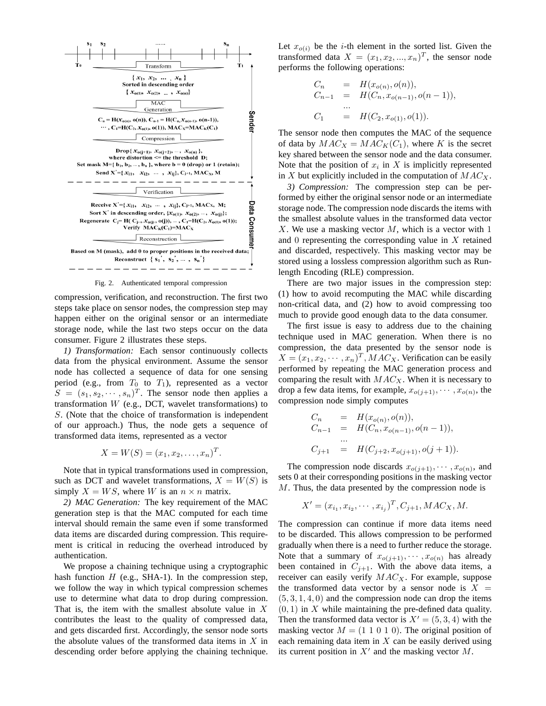

Fig. 2. Authenticated temporal compression

compression, verification, and reconstruction. The first two steps take place on sensor nodes, the compression step may happen either on the original sensor or an intermediate storage node, while the last two steps occur on the data consumer. Figure 2 illustrates these steps.

*1) Transformation:* Each sensor continuously collects data from the physical environment. Assume the sensor node has collected a sequence of data for one sensing period (e.g., from  $T_0$  to  $T_1$ ), represented as a vector  $S = (s_1, s_2, \dots, s_n)^T$ . The sensor node then applies a transformation  $W$  (e.g., DCT, wavelet transformations) to S. (Note that the choice of transformation is independent of our approach.) Thus, the node gets a sequence of transformed data items, represented as a vector

$$
X = W(S) = (x_1, x_2, \dots, x_n)^T.
$$

Note that in typical transformations used in compression, such as DCT and wavelet transformations,  $X = W(S)$  is simply  $X = WS$ , where W is an  $n \times n$  matrix.

*2) MAC Generation:* The key requirement of the MAC generation step is that the MAC computed for each time interval should remain the same even if some transformed data items are discarded during compression. This requirement is critical in reducing the overhead introduced by authentication.

We propose a chaining technique using a cryptographic hash function  $H$  (e.g., SHA-1). In the compression step, we follow the way in which typical compression schemes use to determine what data to drop during compression. That is, the item with the smallest absolute value in  $X$ contributes the least to the quality of compressed data, and gets discarded first. Accordingly, the sensor node sorts the absolute values of the transformed data items in  $X$  in descending order before applying the chaining technique.

Let  $x_{o(i)}$  be the *i*-th element in the sorted list. Given the transformed data  $X = (x_1, x_2, ..., x_n)^T$ , the sensor node performs the following operations:

$$
C_n = H(x_{o(n)}, o(n)),
$$
  
\n
$$
C_{n-1} = H(C_n, x_{o(n-1)}, o(n-1)),
$$
  
\n...  
\n
$$
C_1 = H(C_2, x_{o(1)}, o(1)).
$$

The sensor node then computes the MAC of the sequence of data by  $MAC_X = MAC_K(C_1)$ , where K is the secret key shared between the sensor node and the data consumer. Note that the position of  $x_i$  in  $X$  is implicitly represented in X but explicitly included in the computation of  $MAC_X$ .

*3) Compression:* The compression step can be performed by either the original sensor node or an intermediate storage node. The compression node discards the items with the smallest absolute values in the transformed data vector  $X$ . We use a masking vector  $M$ , which is a vector with 1 and 0 representing the corresponding value in  $X$  retained and discarded, respectively. This masking vector may be stored using a lossless compression algorithm such as Runlength Encoding (RLE) compression.

There are two major issues in the compression step: (1) how to avoid recomputing the MAC while discarding non-critical data, and (2) how to avoid compressing too much to provide good enough data to the data consumer.

The first issue is easy to address due to the chaining technique used in MAC generation. When there is no compression, the data presented by the sensor node is  $X = (x_1, x_2, \dots, x_n)^T$ ,  $MAC_X$ . Verification can be easily performed by repeating the MAC generation process and comparing the result with  $MAC<sub>X</sub>$ . When it is necessary to drop a few data items, for example,  $x_{o(j+1)}, \dots, x_{o(n)}$ , the compression node simply computes

$$
C_n = H(x_{o(n)}, o(n)),
$$
  
\n
$$
C_{n-1} = H(C_n, x_{o(n-1)}, o(n-1)),
$$
  
\n...  
\n
$$
C_{j+1} = H(C_{j+2}, x_{o(j+1)}, o(j+1)).
$$

The compression node discards  $x_{o(j+1)}, \cdots, x_{o(n)}$ , and sets 0 at their corresponding positions in the masking vector M. Thus, the data presented by the compression node is

$$
X' = (x_{i_1}, x_{i_2}, \cdots, x_{i_j})^T, C_{j+1}, MAC_X, M.
$$

The compression can continue if more data items need to be discarded. This allows compression to be performed gradually when there is a need to further reduce the storage. Note that a summary of  $x_{o(j+1)}, \dots, x_{o(n)}$  has already been contained in  $C_{j+1}$ . With the above data items, a receiver can easily verify  $MAC_X$ . For example, suppose the transformed data vector by a sensor node is  $X =$  $(5, 3, 1, 4, 0)$  and the compression node can drop the items  $(0, 1)$  in X while maintaining the pre-defined data quality. Then the transformed data vector is  $X' = (5, 3, 4)$  with the masking vector  $M = (1 \ 1 \ 0 \ 1 \ 0)$ . The original position of each remaining data item in  $X$  can be easily derived using its current position in  $X'$  and the masking vector  $M$ .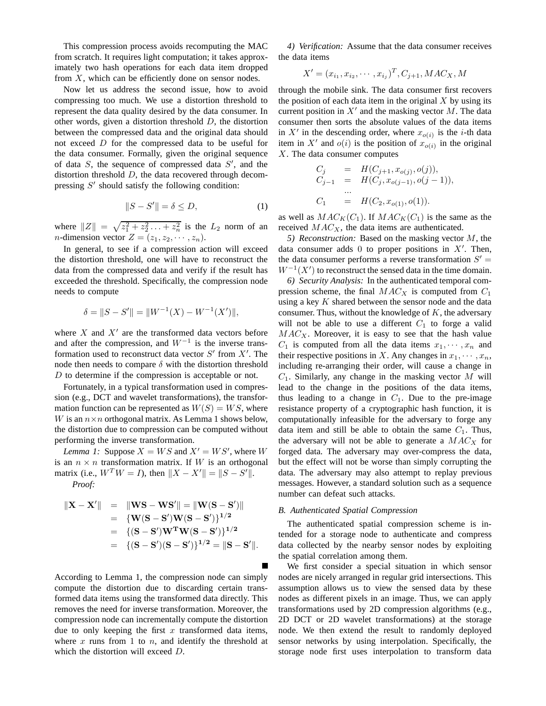This compression process avoids recomputing the MAC from scratch. It requires light computation; it takes approximately two hash operations for each data item dropped from  $X$ , which can be efficiently done on sensor nodes.

Now let us address the second issue, how to avoid compressing too much. We use a distortion threshold to represent the data quality desired by the data consumer. In other words, given a distortion threshold D, the distortion between the compressed data and the original data should not exceed D for the compressed data to be useful for the data consumer. Formally, given the original sequence of data  $S$ , the sequence of compressed data  $S'$ , and the distortion threshold  $D$ , the data recovered through decompressing S' should satisfy the following condition:

$$
||S - S'|| = \delta \le D,\tag{1}
$$

where  $||Z|| = \sqrt{z_1^2 + z_2^2 + \ldots + z_n^2}$  is the  $L_2$  norm of an *n*-dimension vector  $Z = (z_1, z_2, \dots, z_n)$ .

In general, to see if a compression action will exceed the distortion threshold, one will have to reconstruct the data from the compressed data and verify if the result has exceeded the threshold. Specifically, the compression node needs to compute

$$
\delta = \|S - S'\| = \|W^{-1}(X) - W^{-1}(X')\|,
$$

where  $X$  and  $X'$  are the transformed data vectors before and after the compression, and  $W^{-1}$  is the inverse transformation used to reconstruct data vector  $S'$  from  $X'$ . The node then needs to compare  $\delta$  with the distortion threshold D to determine if the compression is acceptable or not.

Fortunately, in a typical transformation used in compression (e.g., DCT and wavelet transformations), the transformation function can be represented as  $W(S) = WS$ , where W is an  $n \times n$  orthogonal matrix. As Lemma 1 shows below, the distortion due to compression can be computed without performing the inverse transformation.

*Lemma 1:* Suppose  $X = WS$  and  $X' = WS'$ , where W is an  $n \times n$  transformation matrix. If W is an orthogonal matrix (i.e.,  $W^T W = I$ ), then  $||X - X'|| = ||S - S'||$ . *Proof:*

$$
\begin{array}{rcl} \|{\bf X}-{\bf X}'\| &=& \|{\bf W}{\bf S}-{\bf W}{\bf S}'\| = \|{\bf W}({\bf S}-{\bf S}')\| \\ &=& \{{\bf W}({\bf S}-{\bf S}'){\bf W}({\bf S}-{\bf S}')\}^{1/2} \\ &=& \{({\bf S}-{\bf S}'){\bf W}^{\bf T}{\bf W}({\bf S}-{\bf S}')\}^{1/2} \\ &=& \{({\bf S}-{\bf S}')({\bf S}-{\bf S}')\}^{1/2} = \|{\bf S}-{\bf S}'\|. \end{array}
$$

According to Lemma 1, the compression node can simply compute the distortion due to discarding certain transformed data items using the transformed data directly. This removes the need for inverse transformation. Moreover, the compression node can incrementally compute the distortion due to only keeping the first  $x$  transformed data items, where  $x$  runs from 1 to  $n$ , and identify the threshold at which the distortion will exceed D.

*4) Verification:* Assume that the data consumer receives the data items

$$
X' = (x_{i_1}, x_{i_2}, \cdots, x_{i_j})^T, C_{j+1}, MAC_X, M
$$

through the mobile sink. The data consumer first recovers the position of each data item in the original  $X$  by using its current position in  $X'$  and the masking vector  $M$ . The data consumer then sorts the absolute values of the data items in X' in the descending order, where  $x_{o(i)}$  is the *i*-th data item in X' and  $o(i)$  is the position of  $x_{o(i)}$  in the original X. The data consumer computes

$$
C_j = H(C_{j+1}, x_{o(j)}, o(j)),
$$
  
\n
$$
C_{j-1} = H(C_j, x_{o(j-1)}, o(j-1)),
$$
  
\n...  
\n
$$
C_1 = H(C_2, x_{o(1)}, o(1)).
$$

as well as  $MAC_K(C_1)$ . If  $MAC_K(C_1)$  is the same as the received  $MAC_X$ , the data items are authenticated.

*5) Reconstruction:* Based on the masking vector M, the data consumer adds  $0$  to proper positions in  $X'$ . Then, the data consumer performs a reverse transformation  $S' =$  $W^{-1}(X')$  to reconstruct the sensed data in the time domain.

*6) Security Analysis:* In the authenticated temporal compression scheme, the final  $MAC<sub>X</sub>$  is computed from  $C<sub>1</sub>$ using a key  $K$  shared between the sensor node and the data consumer. Thus, without the knowledge of  $K$ , the adversary will not be able to use a different  $C_1$  to forge a valid  $MAC<sub>X</sub>$ . Moreover, it is easy to see that the hash value  $C_1$  is computed from all the data items  $x_1, \dots, x_n$  and their respective positions in X. Any changes in  $x_1, \dots, x_n$ , including re-arranging their order, will cause a change in  $C_1$ . Similarly, any change in the masking vector  $M$  will lead to the change in the positions of the data items, thus leading to a change in  $C_1$ . Due to the pre-image resistance property of a cryptographic hash function, it is computationally infeasible for the adversary to forge any data item and still be able to obtain the same  $C_1$ . Thus, the adversary will not be able to generate a  $MAC<sub>X</sub>$  for forged data. The adversary may over-compress the data, but the effect will not be worse than simply corrupting the data. The adversary may also attempt to replay previous messages. However, a standard solution such as a sequence number can defeat such attacks.

#### *B. Authenticated Spatial Compression*

The authenticated spatial compression scheme is intended for a storage node to authenticate and compress data collected by the nearby sensor nodes by exploiting the spatial correlation among them.

We first consider a special situation in which sensor nodes are nicely arranged in regular grid intersections. This assumption allows us to view the sensed data by these nodes as different pixels in an image. Thus, we can apply transformations used by 2D compression algorithms (e.g., 2D DCT or 2D wavelet transformations) at the storage node. We then extend the result to randomly deployed sensor networks by using interpolation. Specifically, the storage node first uses interpolation to transform data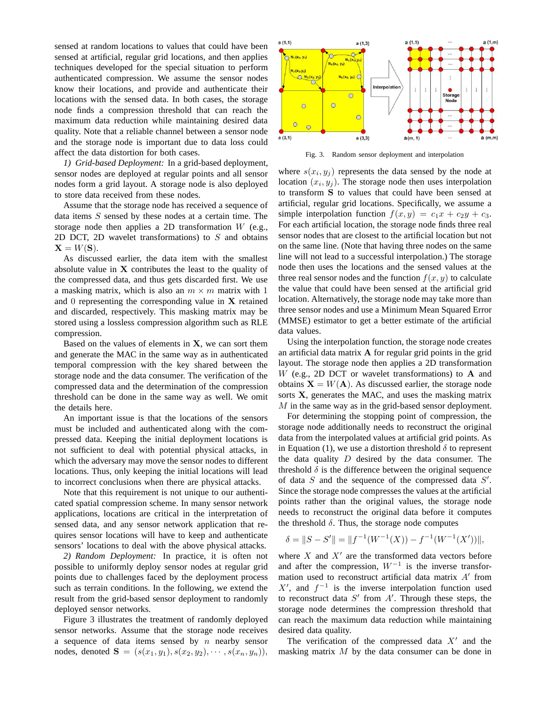sensed at random locations to values that could have been sensed at artificial, regular grid locations, and then applies techniques developed for the special situation to perform authenticated compression. We assume the sensor nodes know their locations, and provide and authenticate their locations with the sensed data. In both cases, the storage node finds a compression threshold that can reach the maximum data reduction while maintaining desired data quality. Note that a reliable channel between a sensor node and the storage node is important due to data loss could affect the data distortion for both cases.

*1) Grid-based Deployment:* In a grid-based deployment, sensor nodes are deployed at regular points and all sensor nodes form a grid layout. A storage node is also deployed to store data received from these nodes.

Assume that the storage node has received a sequence of data items  $S$  sensed by these nodes at a certain time. The storage node then applies a 2D transformation  $W$  (e.g., 2D DCT, 2D wavelet transformations) to  $S$  and obtains  $X = W(S)$ .

As discussed earlier, the data item with the smallest absolute value in  $X$  contributes the least to the quality of the compressed data, and thus gets discarded first. We use a masking matrix, which is also an  $m \times m$  matrix with 1 and  $\theta$  representing the corresponding value in  $X$  retained and discarded, respectively. This masking matrix may be stored using a lossless compression algorithm such as RLE compression.

Based on the values of elements in  $X$ , we can sort them and generate the MAC in the same way as in authenticated temporal compression with the key shared between the storage node and the data consumer. The verification of the compressed data and the determination of the compression threshold can be done in the same way as well. We omit the details here.

An important issue is that the locations of the sensors must be included and authenticated along with the compressed data. Keeping the initial deployment locations is not sufficient to deal with potential physical attacks, in which the adversary may move the sensor nodes to different locations. Thus, only keeping the initial locations will lead to incorrect conclusions when there are physical attacks.

Note that this requirement is not unique to our authenticated spatial compression scheme. In many sensor network applications, locations are critical in the interpretation of sensed data, and any sensor network application that requires sensor locations will have to keep and authenticate sensors' locations to deal with the above physical attacks.

*2) Random Deployment:* In practice, it is often not possible to uniformly deploy sensor nodes at regular grid points due to challenges faced by the deployment process such as terrain conditions. In the following, we extend the result from the grid-based sensor deployment to randomly deployed sensor networks.

Figure 3 illustrates the treatment of randomly deployed sensor networks. Assume that the storage node receives a sequence of data items sensed by  $n$  nearby sensor nodes, denoted  $S = (s(x_1, y_1), s(x_2, y_2), \cdots, s(x_n, y_n)),$ 



Fig. 3. Random sensor deployment and interpolation

where  $s(x_i, y_j)$  represents the data sensed by the node at location  $(x_i, y_j)$ . The storage node then uses interpolation to transform S to values that could have been sensed at artificial, regular grid locations. Specifically, we assume a simple interpolation function  $f(x, y) = c_1x + c_2y + c_3$ . For each artificial location, the storage node finds three real sensor nodes that are closest to the artificial location but not on the same line. (Note that having three nodes on the same line will not lead to a successful interpolation.) The storage node then uses the locations and the sensed values at the three real sensor nodes and the function  $f(x, y)$  to calculate the value that could have been sensed at the artificial grid location. Alternatively, the storage node may take more than three sensor nodes and use a Minimum Mean Squared Error (MMSE) estimator to get a better estimate of the artificial data values.

Using the interpolation function, the storage node creates an artificial data matrix A for regular grid points in the grid layout. The storage node then applies a 2D transformation  $W$  (e.g., 2D DCT or wavelet transformations) to  $A$  and obtains  $X = W(A)$ . As discussed earlier, the storage node sorts X, generates the MAC, and uses the masking matrix M in the same way as in the grid-based sensor deployment.

For determining the stopping point of compression, the storage node additionally needs to reconstruct the original data from the interpolated values at artificial grid points. As in Equation (1), we use a distortion threshold  $\delta$  to represent the data quality  $D$  desired by the data consumer. The threshold  $\delta$  is the difference between the original sequence of data  $S$  and the sequence of the compressed data  $S'$ . Since the storage node compresses the values at the artificial points rather than the original values, the storage node needs to reconstruct the original data before it computes the threshold  $\delta$ . Thus, the storage node computes

$$
\delta = \|S - S'\| = \|f^{-1}(W^{-1}(X)) - f^{-1}(W^{-1}(X'))\|,
$$

where  $X$  and  $X'$  are the transformed data vectors before and after the compression,  $W^{-1}$  is the inverse transformation used to reconstruct artificial data matrix A′ from  $X'$ , and  $f^{-1}$  is the inverse interpolation function used to reconstruct data  $S'$  from  $A'$ . Through these steps, the storage node determines the compression threshold that can reach the maximum data reduction while maintaining desired data quality.

The verification of the compressed data  $X'$  and the masking matrix  $M$  by the data consumer can be done in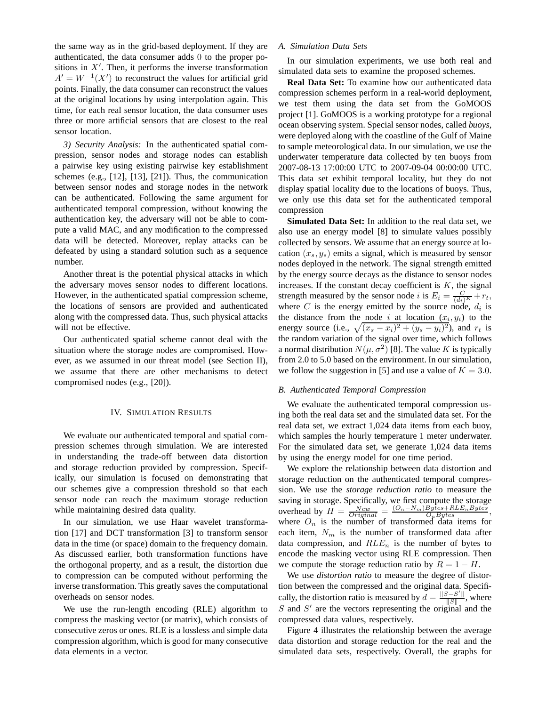the same way as in the grid-based deployment. If they are authenticated, the data consumer adds 0 to the proper positions in  $X'$ . Then, it performs the inverse transformation  $A' = W^{-1}(X')$  to reconstruct the values for artificial grid points. Finally, the data consumer can reconstruct the values at the original locations by using interpolation again. This time, for each real sensor location, the data consumer uses three or more artificial sensors that are closest to the real sensor location.

*3) Security Analysis:* In the authenticated spatial compression, sensor nodes and storage nodes can establish a pairwise key using existing pairwise key establishment schemes (e.g., [12], [13], [21]). Thus, the communication between sensor nodes and storage nodes in the network can be authenticated. Following the same argument for authenticated temporal compression, without knowing the authentication key, the adversary will not be able to compute a valid MAC, and any modification to the compressed data will be detected. Moreover, replay attacks can be defeated by using a standard solution such as a sequence number.

Another threat is the potential physical attacks in which the adversary moves sensor nodes to different locations. However, in the authenticated spatial compression scheme, the locations of sensors are provided and authenticated along with the compressed data. Thus, such physical attacks will not be effective.

Our authenticated spatial scheme cannot deal with the situation where the storage nodes are compromised. However, as we assumed in our threat model (see Section II), we assume that there are other mechanisms to detect compromised nodes (e.g., [20]).

## IV. SIMULATION RESULTS

We evaluate our authenticated temporal and spatial compression schemes through simulation. We are interested in understanding the trade-off between data distortion and storage reduction provided by compression. Specifically, our simulation is focused on demonstrating that our schemes give a compression threshold so that each sensor node can reach the maximum storage reduction while maintaining desired data quality.

In our simulation, we use Haar wavelet transformation [17] and DCT transformation [3] to transform sensor data in the time (or space) domain to the frequency domain. As discussed earlier, both transformation functions have the orthogonal property, and as a result, the distortion due to compression can be computed without performing the inverse transformation. This greatly saves the computational overheads on sensor nodes.

We use the run-length encoding (RLE) algorithm to compress the masking vector (or matrix), which consists of consecutive zeros or ones. RLE is a lossless and simple data compression algorithm, which is good for many consecutive data elements in a vector.

## *A. Simulation Data Sets*

In our simulation experiments, we use both real and simulated data sets to examine the proposed schemes.

**Real Data Set:** To examine how our authenticated data compression schemes perform in a real-world deployment, we test them using the data set from the GoMOOS project [1]. GoMOOS is a working prototype for a regional ocean observing system. Special sensor nodes, called *buoys*, were deployed along with the coastline of the Gulf of Maine to sample meteorological data. In our simulation, we use the underwater temperature data collected by ten buoys from 2007-08-13 17:00:00 UTC to 2007-09-04 00:00:00 UTC. This data set exhibit temporal locality, but they do not display spatial locality due to the locations of buoys. Thus, we only use this data set for the authenticated temporal compression

**Simulated Data Set:** In addition to the real data set, we also use an energy model [8] to simulate values possibly collected by sensors. We assume that an energy source at location  $(x_s, y_s)$  emits a signal, which is measured by sensor nodes deployed in the network. The signal strength emitted by the energy source decays as the distance to sensor nodes increases. If the constant decay coefficient is  $K$ , the signal strength measured by the sensor node *i* is  $E_i = \frac{C}{(d_i)^K} + r_t$ , where C is the energy emitted by the source node,  $d_i$  is the distance from the node i at location  $(x_i, y_i)$  to the energy source (i.e.,  $\sqrt{(x_s - x_i)^2 + (y_s - y_i)^2}$ ), and  $r_t$  is the random variation of the signal over time, which follows a normal distribution  $N(\mu, \sigma^2)$  [8]. The value K is typically from 2.0 to 5.0 based on the environment. In our simulation, we follow the suggestion in [5] and use a value of  $K = 3.0$ .

#### *B. Authenticated Temporal Compression*

We evaluate the authenticated temporal compression using both the real data set and the simulated data set. For the real data set, we extract 1,024 data items from each buoy, which samples the hourly temperature 1 meter underwater. For the simulated data set, we generate 1,024 data items by using the energy model for one time period.

We explore the relationship between data distortion and storage reduction on the authenticated temporal compression. We use the *storage reduction ratio* to measure the saving in storage. Specifically, we first compute the storage overhead by  $H = \frac{New}{Original} = \frac{(O_n - N_m)Bytes + RLE_nBytes}{O_nBytes}$ , where  $O_n$  is the number of transformed data items for each item,  $N_m$  is the number of transformed data after data compression, and  $RLE_n$  is the number of bytes to encode the masking vector using RLE compression. Then we compute the storage reduction ratio by  $R = 1 - H$ .

We use *distortion ratio* to measure the degree of distortion between the compressed and the original data. Specifically, the distortion ratio is measured by  $d = \frac{\|S - S'\|}{\|S\|}$  $\frac{S-S}{\|S\|}$ , where  $S$  and  $S'$  are the vectors representing the original and the compressed data values, respectively.

Figure 4 illustrates the relationship between the average data distortion and storage reduction for the real and the simulated data sets, respectively. Overall, the graphs for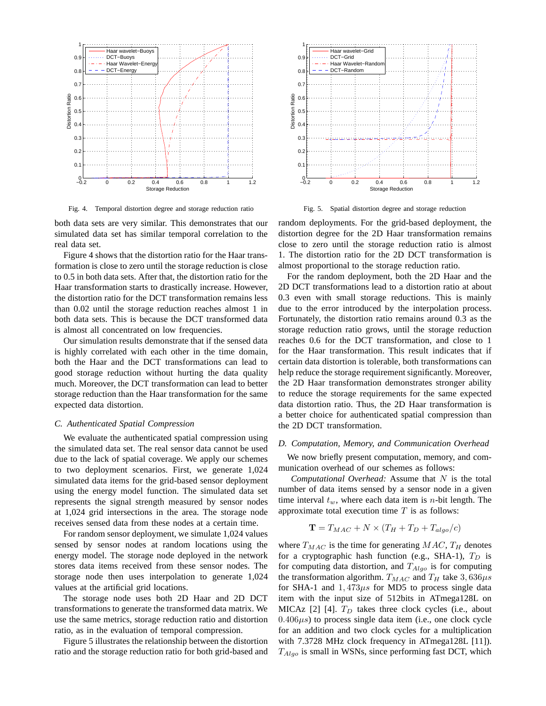

Fig. 4. Temporal distortion degree and storage reduction ratio

both data sets are very similar. This demonstrates that our simulated data set has similar temporal correlation to the real data set.

Figure 4 shows that the distortion ratio for the Haar transformation is close to zero until the storage reduction is close to 0.5 in both data sets. After that, the distortion ratio for the Haar transformation starts to drastically increase. However, the distortion ratio for the DCT transformation remains less than 0.02 until the storage reduction reaches almost 1 in both data sets. This is because the DCT transformed data is almost all concentrated on low frequencies.

Our simulation results demonstrate that if the sensed data is highly correlated with each other in the time domain, both the Haar and the DCT transformations can lead to good storage reduction without hurting the data quality much. Moreover, the DCT transformation can lead to better storage reduction than the Haar transformation for the same expected data distortion.

#### *C. Authenticated Spatial Compression*

We evaluate the authenticated spatial compression using the simulated data set. The real sensor data cannot be used due to the lack of spatial coverage. We apply our schemes to two deployment scenarios. First, we generate 1,024 simulated data items for the grid-based sensor deployment using the energy model function. The simulated data set represents the signal strength measured by sensor nodes at 1,024 grid intersections in the area. The storage node receives sensed data from these nodes at a certain time.

For random sensor deployment, we simulate 1,024 values sensed by sensor nodes at random locations using the energy model. The storage node deployed in the network stores data items received from these sensor nodes. The storage node then uses interpolation to generate 1,024 values at the artificial grid locations.

The storage node uses both 2D Haar and 2D DCT transformations to generate the transformed data matrix. We use the same metrics, storage reduction ratio and distortion ratio, as in the evaluation of temporal compression.

Figure 5 illustrates the relationship between the distortion ratio and the storage reduction ratio for both grid-based and



Fig. 5. Spatial distortion degree and storage reduction

random deployments. For the grid-based deployment, the distortion degree for the 2D Haar transformation remains close to zero until the storage reduction ratio is almost 1. The distortion ratio for the 2D DCT transformation is almost proportional to the storage reduction ratio.

For the random deployment, both the 2D Haar and the 2D DCT transformations lead to a distortion ratio at about 0.3 even with small storage reductions. This is mainly due to the error introduced by the interpolation process. Fortunately, the distortion ratio remains around 0.3 as the storage reduction ratio grows, until the storage reduction reaches 0.6 for the DCT transformation, and close to 1 for the Haar transformation. This result indicates that if certain data distortion is tolerable, both transformations can help reduce the storage requirement significantly. Moreover, the 2D Haar transformation demonstrates stronger ability to reduce the storage requirements for the same expected data distortion ratio. Thus, the 2D Haar transformation is a better choice for authenticated spatial compression than the 2D DCT transformation.

#### *D. Computation, Memory, and Communication Overhead*

We now briefly present computation, memory, and communication overhead of our schemes as follows:

*Computational Overhead:* Assume that N is the total number of data items sensed by a sensor node in a given time interval  $t_w$ , where each data item is *n*-bit length. The approximate total execution time  $T$  is as follows:

$$
\mathbf{T} = T_{MAC} + N \times (T_H + T_D + T_{algo}/c)
$$

where  $T_{MAC}$  is the time for generating  $MAC, T_H$  denotes for a cryptographic hash function (e.g., SHA-1),  $T_D$  is for computing data distortion, and  $T_{Algo}$  is for computing the transformation algorithm.  $T_{MAC}$  and  $T_H$  take 3,636 $\mu s$ for SHA-1 and  $1,473\mu s$  for MD5 to process single data item with the input size of 512bits in ATmega128L on MICAz [2] [4].  $T_D$  takes three clock cycles (i.e., about  $0.406\mu s$ ) to process single data item (i.e., one clock cycle for an addition and two clock cycles for a multiplication with 7.3728 MHz clock frequency in ATmega128L [11]).  $T_{Algo}$  is small in WSNs, since performing fast DCT, which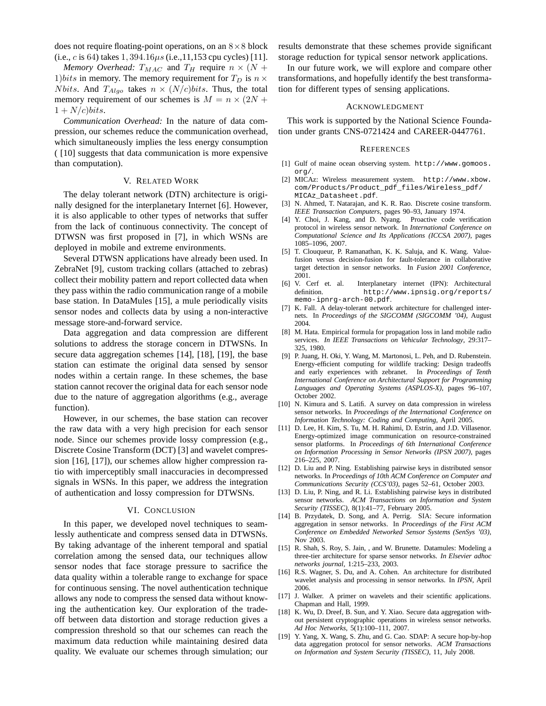does not require floating-point operations, on an  $8 \times 8$  block (i.e., *c* is 64) takes  $1, 394.16 \mu s$  (i.e., 11, 153 cpu cycles) [11].

*Memory Overhead:*  $T_{MAC}$  and  $T_H$  require  $n \times (N +$ 1)*bits* in memory. The memory requirement for  $T_D$  is  $n \times$ *Nbits.* And  $T_{Algo}$  takes  $n \times (N/c) bits$ . Thus, the total memory requirement of our schemes is  $M = n \times (2N +$  $1 + N/c$ ) bits.

*Communication Overhead:* In the nature of data compression, our schemes reduce the communication overhead, which simultaneously implies the less energy consumption ( [10] suggests that data communication is more expensive than computation).

## V. RELATED WORK

The delay tolerant network (DTN) architecture is originally designed for the interplanetary Internet [6]. However, it is also applicable to other types of networks that suffer from the lack of continuous connectivity. The concept of DTWSN was first proposed in [7], in which WSNs are deployed in mobile and extreme environments.

Several DTWSN applications have already been used. In ZebraNet [9], custom tracking collars (attached to zebras) collect their mobility pattern and report collected data when they pass within the radio communication range of a mobile base station. In DataMules [15], a mule periodically visits sensor nodes and collects data by using a non-interactive message store-and-forward service.

Data aggregation and data compression are different solutions to address the storage concern in DTWSNs. In secure data aggregation schemes [14], [18], [19], the base station can estimate the original data sensed by sensor nodes within a certain range. In these schemes, the base station cannot recover the original data for each sensor node due to the nature of aggregation algorithms (e.g., average function).

However, in our schemes, the base station can recover the raw data with a very high precision for each sensor node. Since our schemes provide lossy compression (e.g., Discrete Cosine Transform (DCT) [3] and wavelet compression [16], [17]), our schemes allow higher compression ratio with imperceptibly small inaccuracies in decompressed signals in WSNs. In this paper, we address the integration of authentication and lossy compression for DTWSNs.

### VI. CONCLUSION

In this paper, we developed novel techniques to seamlessly authenticate and compress sensed data in DTWSNs. By taking advantage of the inherent temporal and spatial correlation among the sensed data, our techniques allow sensor nodes that face storage pressure to sacrifice the data quality within a tolerable range to exchange for space for continuous sensing. The novel authentication technique allows any node to compress the sensed data without knowing the authentication key. Our exploration of the tradeoff between data distortion and storage reduction gives a compression threshold so that our schemes can reach the maximum data reduction while maintaining desired data quality. We evaluate our schemes through simulation; our

results demonstrate that these schemes provide significant storage reduction for typical sensor network applications.

In our future work, we will explore and compare other transformations, and hopefully identify the best transformation for different types of sensing applications.

## ACKNOWLEDGMENT

This work is supported by the National Science Foundation under grants CNS-0721424 and CAREER-0447761.

#### **REFERENCES**

- [1] Gulf of maine ocean observing system. http://www.gomoos. org/.
- [2] MICAz: Wireless measurement system. http://www.xbow. com/Products/Product\_pdf\_files/Wireless\_pdf/ MICAz\_Datasheet.pdf.
- [3] N. Ahmed, T. Natarajan, and K. R. Rao. Discrete cosine transform. *IEEE Transaction Computers*, pages 90–93, January 1974.
- [4] Y. Choi, J. Kang, and D. Nyang. Proactive code verification protocol in wireless sensor network. In *International Conference on Computational Science and Its Applications (ICCSA 2007)*, pages 1085–1096, 2007.
- [5] T. Clouqueur, P. Ramanathan, K. K. Saluja, and K. Wang. Valuefusion versus decision-fusion for fault-tolerance in collaborative target detection in sensor networks. In *Fusion 2001 Conference*, 2001.
- [6] V. Cerf et. al. Interplanetary internet (IPN): Architectural definition. http://www.ipnsig.org/reports/ memo-ipnrg-arch-00.pdf.
- [7] K. Fall. A delay-tolerant network architecture for challenged internets. In *Proceedings of the SIGCOMM (SIGCOMM '04)*, August 2004.
- [8] M. Hata. Empirical formula for propagation loss in land mobile radio services. *In IEEE Transactions on Vehicular Technology*, 29:317– 325, 1980.
- [9] P. Juang, H. Oki, Y. Wang, M. Martonosi, L. Peh, and D. Rubenstein. Energy-efficient computing for wildlife tracking: Design tradeoffs and early experiences with zebranet. In *Proceedings of Tenth International Conference on Architectural Support for Programming Languages and Operating Systems (ASPLOS-X)*, pages 96–107, October 2002.
- [10] N. Kimura and S. Latifi. A survey on data compression in wireless sensor networks. In *Proceedings of the International Conference on Information Technology: Coding and Computing*, April 2005.
- [11] D. Lee, H. Kim, S. Tu, M. H. Rahimi, D. Estrin, and J.D. Villasenor. Energy-optimized image communication on resource-constrained sensor platforms. In *Proceedings of 6th International Conference on Information Processing in Sensor Networks (IPSN 2007)*, pages 216–225, 2007.
- [12] D. Liu and P. Ning. Establishing pairwise keys in distributed sensor networks. In *Proceedings of 10th ACM Conference on Computer and Communications Security (CCS'03)*, pages 52–61, October 2003.
- [13] D. Liu, P. Ning, and R. Li. Establishing pairwise keys in distributed sensor networks. *ACM Transactions on Information and System Security (TISSEC)*, 8(1):41–77, February 2005.
- [14] B. Przydatek, D. Song, and A. Perrig. SIA: Secure information aggregation in sensor networks. In *Proceedings of the First ACM Conference on Embedded Networked Sensor Systems (SenSys '03)*, Nov 2003.
- [15] R. Shah, S. Roy, S. Jain, , and W. Brunette. Datamules: Modeling a three-tier architecture for sparse sensor networks. *In Elsevier adhoc networks journal*, 1:215–233, 2003.
- [16] R.S. Wagner, S. Du, and A. Cohen. An architecture for distributed wavelet analysis and processing in sensor networks. In *IPSN*, April 2006.
- [17] J. Walker. A primer on wavelets and their scientific applications. Chapman and Hall, 1999.
- [18] K. Wu, D. Dreef, B. Sun, and Y. Xiao. Secure data aggregation without persistent cryptographic operations in wireless sensor networks. *Ad Hoc Networks*, 5(1):100–111, 2007.
- [19] Y. Yang, X. Wang, S. Zhu, and G. Cao. SDAP: A secure hop-by-hop data aggregation protocol for sensor networks. *ACM Transactions on Information and System Security (TISSEC)*, 11, July 2008.